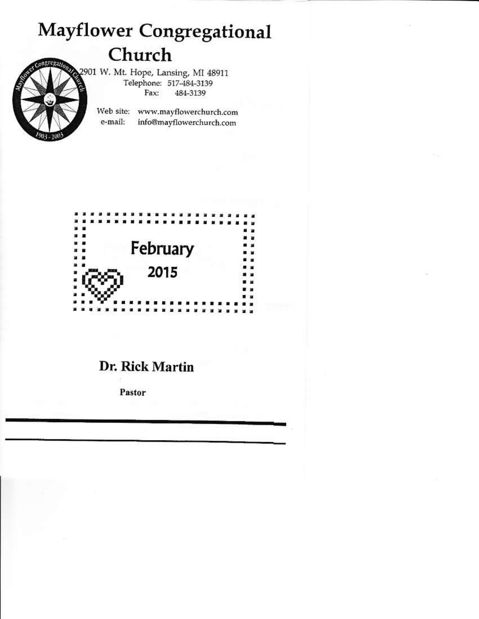# **Mayflower Congregational** Church

2901 W. Mt. Hope, Lansing, MI 48911 Telephone: 517-484-3139 Fax: 484-3139

Web site: www.mayflowerchurch.com e-mail: info@mayflowerchurch.com



## Dr. Rick Martin

Pastor

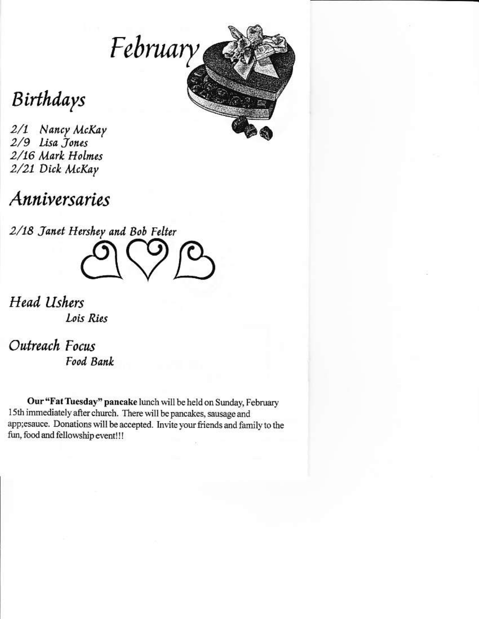

Birthdays

2/1 Nancy McKay 2/9 Lisa Jones 2/16 Mark Holmes 2/21 Dick McKay

Anniversaries

2/18 Janet Hershey and Bob Felter

**Head Ushers** Lois Ries

Outreach Focus Food Bank

Our "Fat Tuesday" pancake lunch will be held on Sunday, February 15th immediately after church. There will be pancakes, sausage and app;esauce. Donations will be accepted. Invite your friends and family to the fun, food and fellowship event!!!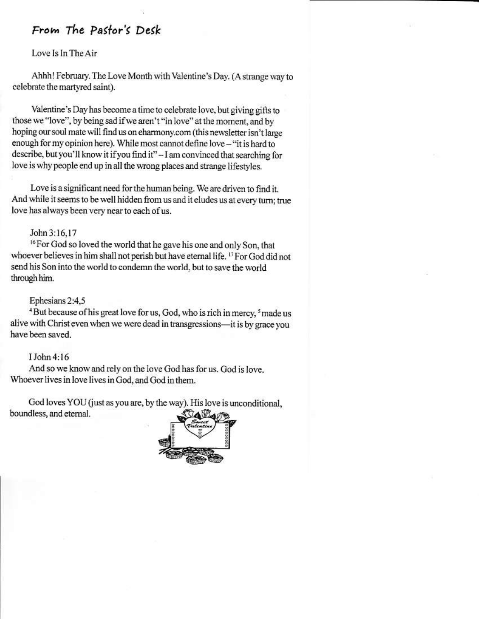### From The Pastor's Desk

Love Is In The Air

Ahhh! February. The Love Month with Valentine's Day. (A strange way to celebrate the martyred saint).

Valentine's Day has become a time to celebrate love, but giving gifts to those we "love", by being sad if we aren't "in love" at the moment, and by hoping our soul mate will find us on eharmony.com (this newsletter isn't large enough for my opinion here). While most cannot define love - "it is hard to describe, but you'll know it if you find it"-I am convinced that searching for love is why people end up in all the wrong places and strange lifestyles.

Love is a significant need for the human being. We are driven to find it. And while it seems to be well hidden from us and it eludes us at every turn; true love has always been very near to each of us.

#### John 3:16,17

<sup>16</sup> For God so loved the world that he gave his one and only Son, that whoever believes in him shall not perish but have eternal life.<sup>17</sup> For God did not send his Son into the world to condemn the world, but to save the world through him.

#### Ephesians 2:4,5

<sup>4</sup>But because of his great love for us, God, who is rich in mercy, <sup>5</sup> made us alive with Christ even when we were dead in transgressions-it is by grace you have been saved.

#### I John  $4:16$

And so we know and rely on the love God has for us. God is love. Whoever lives in love lives in God, and God in them.

God loves YOU (just as you are, by the way). His love is unconditional, boundless, and eternal.

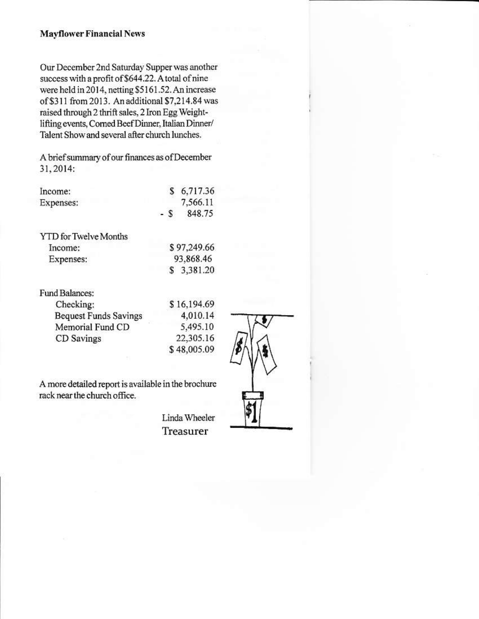#### **Mayflower Financial News**

Our December 2nd Saturday Supper was another success with a profit of \$644.22. A total of nine were held in 2014, netting \$5161.52. An increase of \$311 from 2013. An additional \$7,214.84 was raised through 2 thrift sales, 2 Iron Egg Weightlifting events, Corned Beef Dinner, Italian Dinner/ Talent Show and several after church lunches.

A brief summary of our finances as of December 31, 2014:

| Income:   |      | \$6,717.36 |
|-----------|------|------------|
| Expenses: |      | 7,566.11   |
|           | $-5$ | 848.75     |

**YTD** for Twelve Months Income: Expenses:

 $$3,381.20$ 1.69

\$97,249.66

93,868.46

| <b>Fund Balances:</b>        |             |
|------------------------------|-------------|
| Checking:                    | \$16.194.69 |
| <b>Bequest Funds Savings</b> | 4,010.14    |
| Memorial Fund CD             | 5,495.10    |
| CD Savings                   | 22,305.16   |
|                              | \$48,005.09 |

A more detailed report is available in the brochure rack near the church office.

> Linda Wheeler **Treasurer**

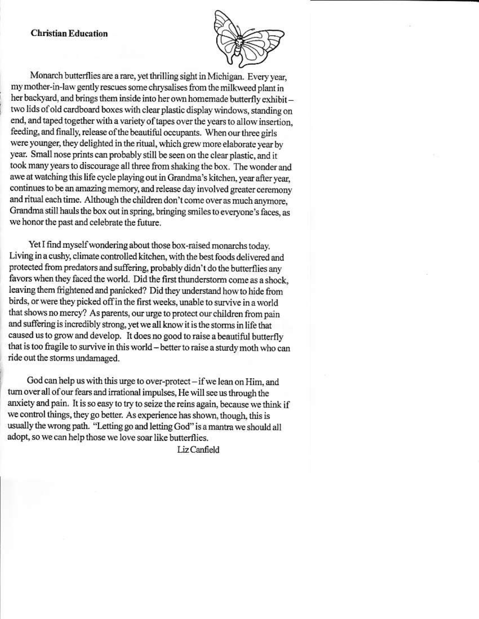#### **Christian Education**



Monarch butterflies are a rare, yet thrilling sight in Michigan. Every year, my mother-in-law gently rescues some chrysalises from the milkweed plant in her backyard, and brings them inside into her own homemade butterfly exhibittwo lids of old cardboard boxes with clear plastic display windows, standing on end, and taped together with a variety of tapes over the years to allow insertion, feeding, and finally, release of the beautiful occupants. When our three girls were younger, they delighted in the ritual, which grew more elaborate year by year. Small nose prints can probably still be seen on the clear plastic, and it took many years to discourage all three from shaking the box. The wonder and awe at watching this life cycle playing out in Grandma's kitchen, year after year, continues to be an amazing memory, and release day involved greater ceremony and ritual each time. Although the children don't come over as much anymore, Grandma still hauls the box out in spring, bringing smiles to everyone's faces, as we honor the past and celebrate the future.

Yet I find myself wondering about those box-raised monarchs today. Living in a cushy, climate controlled kitchen, with the best foods delivered and protected from predators and suffering, probably didn't do the butterflies any favors when they faced the world. Did the first thunderstorm come as a shock, leaving them frightened and panicked? Did they understand how to hide from birds, or were they picked off in the first weeks, unable to survive in a world that shows no mercy? As parents, our urge to protect our children from pain and suffering is incredibly strong, yet we all know it is the storms in life that caused us to grow and develop. It does no good to raise a beautiful butterfly that is too fragile to survive in this world - better to raise a sturdy moth who can ride out the storms undamaged.

God can help us with this urge to over-protect - if we lean on Him, and turn over all of our fears and irrational impulses, He will see us through the anxiety and pain. It is so easy to try to seize the reins again, because we think if we control things, they go better. As experience has shown, though, this is usually the wrong path. "Letting go and letting God" is a mantra we should all adopt, so we can help those we love soar like butterflies.

Liz Canfield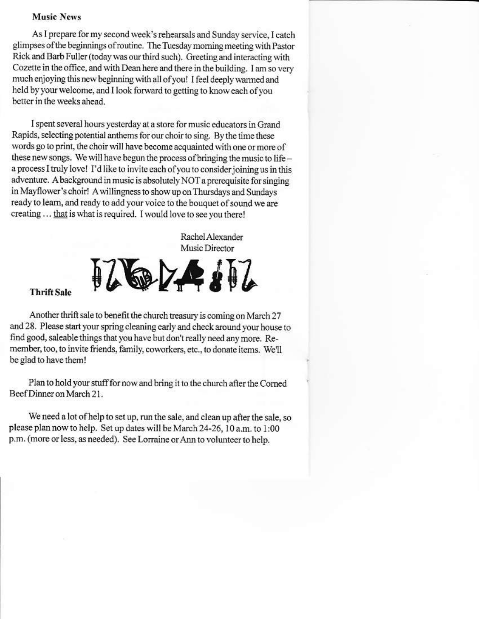#### **Music News**

As I prepare for my second week's rehearsals and Sunday service, I catch glimpses of the beginnings of routine. The Tuesday morning meeting with Pastor Rick and Barb Fuller (today was our third such). Greeting and interacting with Cozette in the office, and with Dean here and there in the building. I am so very much enjoying this new beginning with all of you! I feel deeply warmed and held by your welcome, and I look forward to getting to know each of you better in the weeks ahead.

I spent several hours yesterday at a store for music educators in Grand Rapids, selecting potential anthems for our choir to sing. By the time these words go to print, the choir will have become acquainted with one or more of these new songs. We will have begun the process of bringing the music to life a process I truly love! I'd like to invite each of you to consider joining us in this adventure. A background in music is absolutely NOT a prerequisite for singing in Mayflower's choir! A willingness to show up on Thursdays and Sundays ready to learn, and ready to add your voice to the bouquet of sound we are creating ... that is what is required. I would love to see you there!

> Rachel Alexander Music Director

 $06624402$ 

#### **Thrift Sale**

Another thrift sale to benefit the church treasury is coming on March 27 and 28. Please start your spring cleaning early and check around your house to find good, saleable things that you have but don't really need any more. Remember, too, to invite friends, family, coworkers, etc., to donate items. We'll be glad to have them!

Plan to hold your stuff for now and bring it to the church after the Corned Beef Dinner on March 21.

We need a lot of help to set up, run the sale, and clean up after the sale, so please plan now to help. Set up dates will be March 24-26, 10 a.m. to 1:00 p.m. (more or less, as needed). See Lorraine or Ann to volunteer to help.